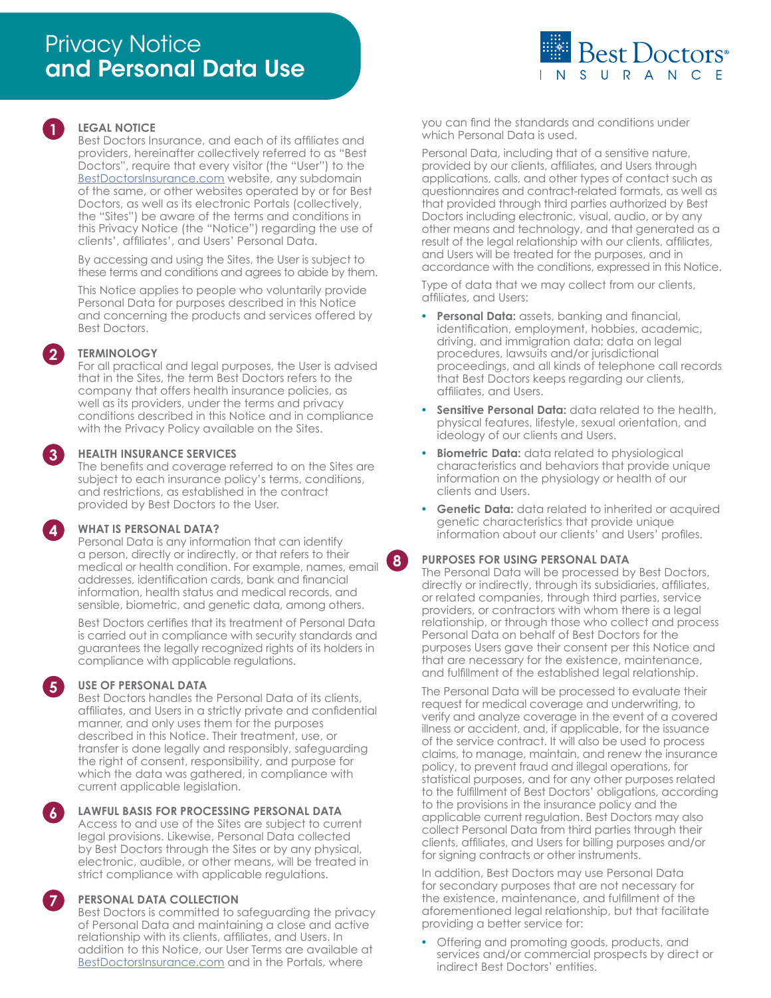

## **1 LEGAL NOTICE**

Best Doctors Insurance, and each of its affiliates and providers, hereinafter collectively referred to as "Best Doctors", require that every visitor (the "User") to the [BestDoctorsInsurance.com](http://www.BestDoctorsInsurance.com) website, any subdomain of the same, or other websites operated by or for Best Doctors, as well as its electronic Portals (collectively, the "Sites") be aware of the terms and conditions in this Privacy Notice (the "Notice") regarding the use of clients', affiliates', and Users' Personal Data.

By accessing and using the Sites, the User is subject to these terms and conditions and agrees to abide by them.

This Notice applies to people who voluntarily provide Personal Data for purposes described in this Notice and concerning the products and services offered by Best Doctors.

#### **2 TERMINOLOGY**

For all practical and legal purposes, the User is advised that in the Sites, the term Best Doctors refers to the company that offers health insurance policies, as well as its providers, under the terms and privacy conditions described in this Notice and in compliance with the Privacy Policy available on the Sites.

#### **3 HEALTH INSURANCE SERVICES**

The benefits and coverage referred to on the Sites are subject to each insurance policy's terms, conditions, and restrictions, as established in the contract provided by Best Doctors to the User.

#### **4 WHAT IS PERSONAL DATA?**

Personal Data is any information that can identify a person, directly or indirectly, or that refers to their medical or health condition. For example, names, email addresses, identification cards, bank and financial information, health status and medical records, and sensible, biometric, and genetic data, among others.

Best Doctors certifies that its treatment of Personal Data is carried out in compliance with security standards and guarantees the legally recognized rights of its holders in compliance with applicable regulations.

#### **5 USE OF PERSONAL DATA**

Best Doctors handles the Personal Data of its clients, affiliates, and Users in a strictly private and confidential manner, and only uses them for the purposes described in this Notice. Their treatment, use, or transfer is done legally and responsibly, safeguarding the right of consent, responsibility, and purpose for which the data was gathered, in compliance with current applicable legislation.

**6 LAWFUL BASIS FOR PROCESSING PERSONAL DATA**

Access to and use of the Sites are subject to current legal provisions. Likewise, Personal Data collected by Best Doctors through the Sites or by any physical, electronic, audible, or other means, will be treated in strict compliance with applicable regulations.

#### **7 PERSONAL DATA COLLECTION**

Best Doctors is committed to safeguarding the privacy of Personal Data and maintaining a close and active relationship with its clients, affiliates, and Users. In addition to this Notice, our User Terms are available at [BestDoctorsInsurance.com](http://www.BestDoctorsInsurance.com) and in the Portals, where

you can find the standards and conditions under which Personal Data is used.

Personal Data, including that of a sensitive nature, provided by our clients, affiliates, and Users through applications, calls, and other types of contact such as questionnaires and contract-related formats, as well as that provided through third parties authorized by Best Doctors including electronic, visual, audio, or by any other means and technology, and that generated as a result of the legal relationship with our clients, affiliates, and Users will be treated for the purposes, and in accordance with the conditions, expressed in this Notice.

Type of data that we may collect from our clients, affiliates, and Users:

- **• Personal Data:** assets, banking and financial, identification, employment, hobbies, academic, driving, and immigration data; data on legal procedures, lawsuits and/or jurisdictional proceedings, and all kinds of telephone call records that Best Doctors keeps regarding our clients, affiliates, and Users.
- **Sensitive Personal Data:** data related to the health, physical features, lifestyle, sexual orientation, and ideology of our clients and Users.
- **• Biometric Data:** data related to physiological characteristics and behaviors that provide unique information on the physiology or health of our clients and Users.
- **• Genetic Data:** data related to inherited or acquired genetic characteristics that provide unique information about our clients' and Users' profiles.

#### **8 PURPOSES FOR USING PERSONAL DATA**

The Personal Data will be processed by Best Doctors, directly or indirectly, through its subsidiaries, affiliates, or related companies, through third parties, service providers, or contractors with whom there is a legal relationship, or through those who collect and process Personal Data on behalf of Best Doctors for the purposes Users gave their consent per this Notice and that are necessary for the existence, maintenance, and fulfillment of the established legal relationship.

The Personal Data will be processed to evaluate their request for medical coverage and underwriting, to verify and analyze coverage in the event of a covered illness or accident, and, if applicable, for the issuance of the service contract. It will also be used to process claims, to manage, maintain, and renew the insurance policy, to prevent fraud and illegal operations, for statistical purposes, and for any other purposes related to the fulfillment of Best Doctors' obligations, according to the provisions in the insurance policy and the applicable current regulation. Best Doctors may also collect Personal Data from third parties through their clients, affiliates, and Users for billing purposes and/or for signing contracts or other instruments.

In addition, Best Doctors may use Personal Data for secondary purposes that are not necessary for the existence, maintenance, and fulfillment of the aforementioned legal relationship, but that facilitate providing a better service for:

**•** Offering and promoting goods, products, and services and/or commercial prospects by direct or indirect Best Doctors' entities.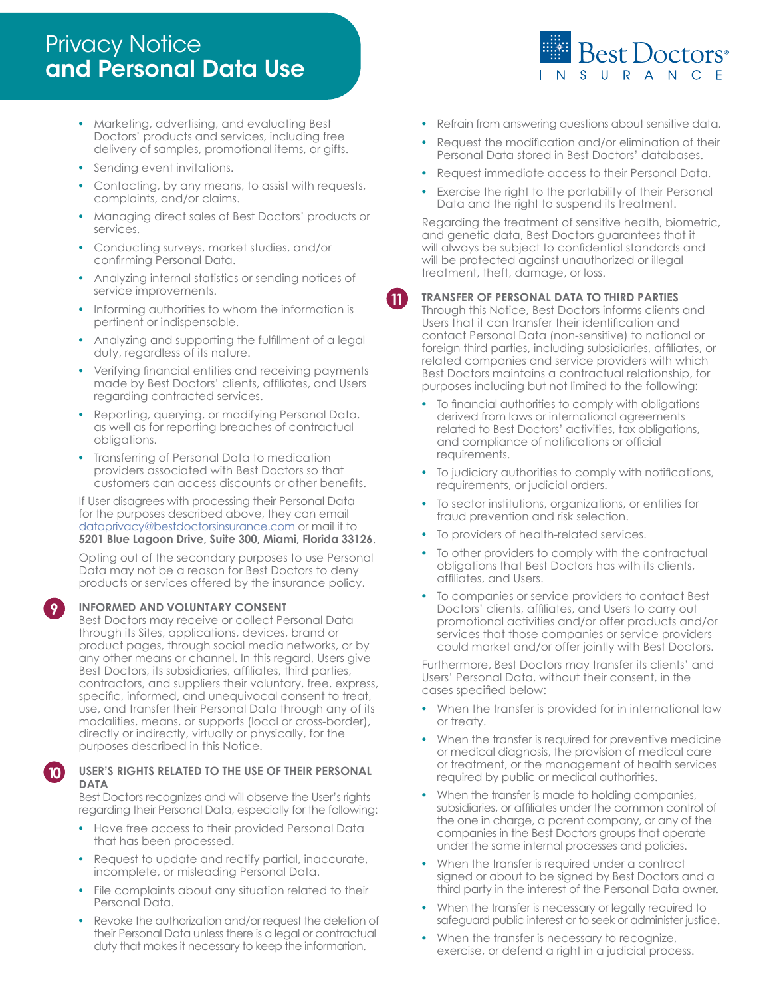# **Privacy Notice** and Personal Data Use

- **•** Marketing, advertising, and evaluating Best Doctors' products and services, including free delivery of samples, promotional items, or gifts.
- **•** Sending event invitations.
- **•** Contacting, by any means, to assist with requests, complaints, and/or claims.
- **•** Managing direct sales of Best Doctors' products or services.
- **•** Conducting surveys, market studies, and/or confirming Personal Data.
- **•** Analyzing internal statistics or sending notices of service improvements.
- **•** Informing authorities to whom the information is pertinent or indispensable.
- **•** Analyzing and supporting the fulfillment of a legal duty, regardless of its nature.
- **•** Verifying financial entities and receiving payments made by Best Doctors' clients, affiliates, and Users regarding contracted services.
- **•** Reporting, querying, or modifying Personal Data, as well as for reporting breaches of contractual obligations.
- **•** Transferring of Personal Data to medication providers associated with Best Doctors so that customers can access discounts or other benefits.

If User disagrees with processing their Personal Data for the purposes described above, they can email [dataprivacy@bestdoctorsinsurance.com](mailto:dataprivacy@bestdoctorsinsurance.com) or mail it to **5201 Blue Lagoon Drive, Suite 300, Miami, Florida 33126**.

Opting out of the secondary purposes to use Personal Data may not be a reason for Best Doctors to deny products or services offered by the insurance policy.

### **9 INFORMED AND VOLUNTARY CONSENT**

Best Doctors may receive or collect Personal Data through its Sites, applications, devices, brand or product pages, through social media networks, or by any other means or channel. In this regard, Users give Best Doctors, its subsidiaries, affiliates, third parties, contractors, and suppliers their voluntary, free, express, specific, informed, and unequivocal consent to treat, use, and transfer their Personal Data through any of its modalities, means, or supports (local or cross-border), directly or indirectly, virtually or physically, for the purposes described in this Notice.

# **10 USER'S RIGHTS RELATED TO THE USE OF THEIR PERSONAL DATA**

Best Doctors recognizes and will observe the User's rights regarding their Personal Data, especially for the following:

- **•** Have free access to their provided Personal Data that has been processed.
- **•** Request to update and rectify partial, inaccurate, incomplete, or misleading Personal Data.
- **•** File complaints about any situation related to their Personal Data.
- **•** Revoke the authorization and/or request the deletion of their Personal Data unless there is a legal or contractual duty that makes it necessary to keep the information.
- **•** Refrain from answering questions about sensitive data.
- **•** Request the modification and/or elimination of their Personal Data stored in Best Doctors' databases.
- **•** Request immediate access to their Personal Data.
- **•** Exercise the right to the portability of their Personal Data and the right to suspend its treatment.

Regarding the treatment of sensitive health, biometric, and genetic data, Best Doctors guarantees that it will always be subject to confidential standards and will be protected against unauthorized or illegal treatment, theft, damage, or loss.

## **11 TRANSFER OF PERSONAL DATA TO THIRD PARTIES**

Through this Notice, Best Doctors informs clients and Users that it can transfer their identification and contact Personal Data (non-sensitive) to national or foreign third parties, including subsidiaries, affiliates, or related companies and service providers with which Best Doctors maintains a contractual relationship, for purposes including but not limited to the following:

- **•** To financial authorities to comply with obligations derived from laws or international agreements related to Best Doctors' activities, tax obligations, and compliance of notifications or official requirements.
- **•** To judiciary authorities to comply with notifications, requirements, or judicial orders.
- **•** To sector institutions, organizations, or entities for fraud prevention and risk selection.
- **•** To providers of health-related services.
- **•** To other providers to comply with the contractual obligations that Best Doctors has with its clients, affiliates, and Users.
- **•** To companies or service providers to contact Best Doctors' clients, affiliates, and Users to carry out promotional activities and/or offer products and/or services that those companies or service providers could market and/or offer jointly with Best Doctors.

Furthermore, Best Doctors may transfer its clients' and Users' Personal Data, without their consent, in the cases specified below:

- **•** When the transfer is provided for in international law or treaty.
- **•** When the transfer is required for preventive medicine or medical diagnosis, the provision of medical care or treatment, or the management of health services required by public or medical authorities.
- **•** When the transfer is made to holding companies, subsidiaries, or affiliates under the common control of the one in charge, a parent company, or any of the companies in the Best Doctors groups that operate under the same internal processes and policies.
- **•** When the transfer is required under a contract signed or about to be signed by Best Doctors and a third party in the interest of the Personal Data owner.
- **•** When the transfer is necessary or legally required to safeguard public interest or to seek or administer justice.
- **•** When the transfer is necessary to recognize, exercise, or defend a right in a judicial process.